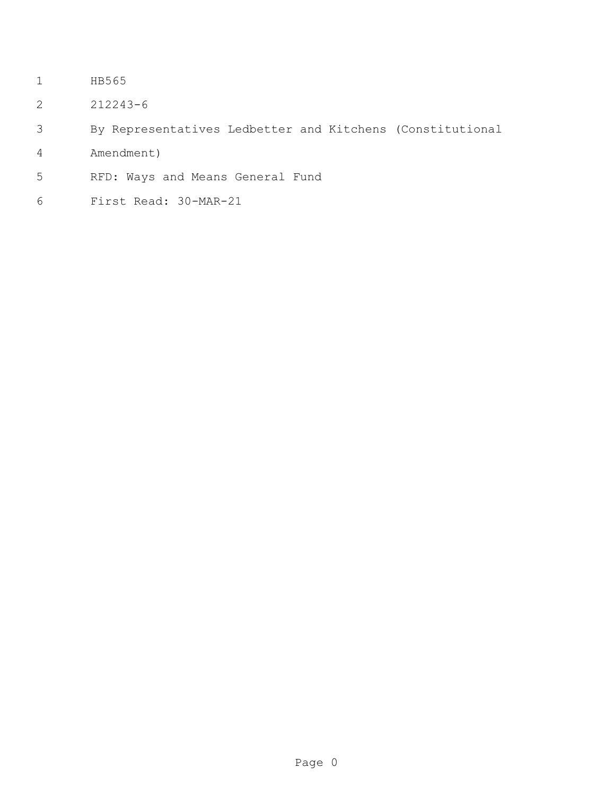- HB565
- 212243-6
- By Representatives Ledbetter and Kitchens (Constitutional
- Amendment)
- RFD: Ways and Means General Fund
- First Read: 30-MAR-21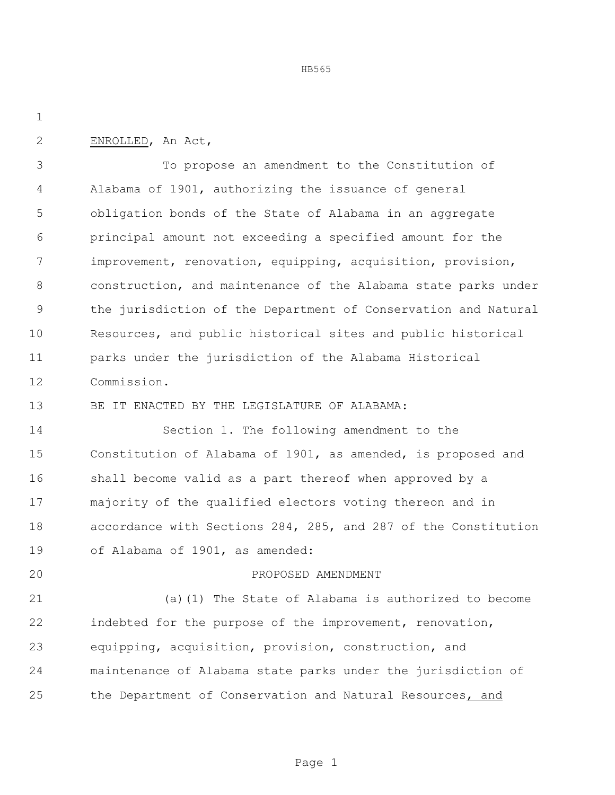ENROLLED, An Act,

 To propose an amendment to the Constitution of Alabama of 1901, authorizing the issuance of general obligation bonds of the State of Alabama in an aggregate principal amount not exceeding a specified amount for the improvement, renovation, equipping, acquisition, provision, construction, and maintenance of the Alabama state parks under the jurisdiction of the Department of Conservation and Natural Resources, and public historical sites and public historical parks under the jurisdiction of the Alabama Historical Commission.

BE IT ENACTED BY THE LEGISLATURE OF ALABAMA:

 Section 1. The following amendment to the Constitution of Alabama of 1901, as amended, is proposed and shall become valid as a part thereof when approved by a majority of the qualified electors voting thereon and in accordance with Sections 284, 285, and 287 of the Constitution of Alabama of 1901, as amended:

## PROPOSED AMENDMENT

 (a)(1) The State of Alabama is authorized to become indebted for the purpose of the improvement, renovation, equipping, acquisition, provision, construction, and maintenance of Alabama state parks under the jurisdiction of the Department of Conservation and Natural Resources, and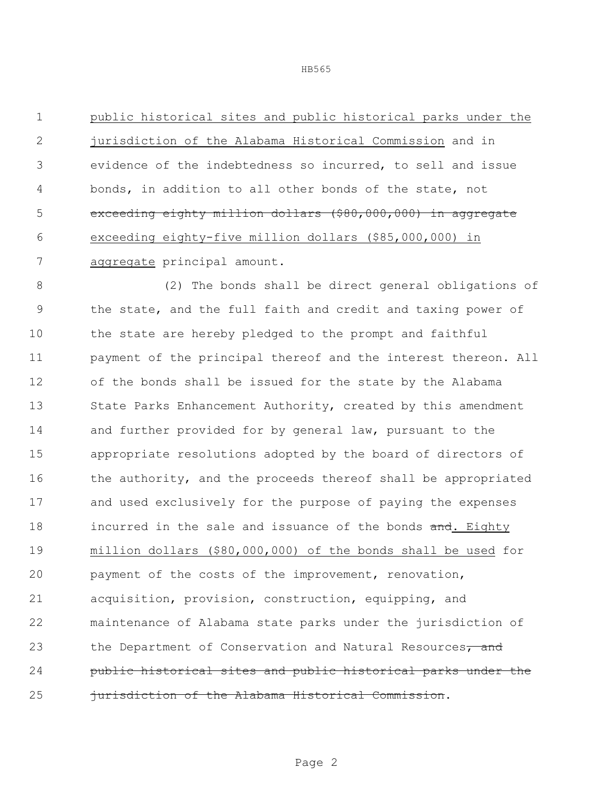public historical sites and public historical parks under the jurisdiction of the Alabama Historical Commission and in evidence of the indebtedness so incurred, to sell and issue bonds, in addition to all other bonds of the state, not 5 exceeding eighty million dollars (\$80,000,000) in aggregate exceeding eighty-five million dollars (\$85,000,000) in aggregate principal amount.

 (2) The bonds shall be direct general obligations of the state, and the full faith and credit and taxing power of the state are hereby pledged to the prompt and faithful payment of the principal thereof and the interest thereon. All of the bonds shall be issued for the state by the Alabama State Parks Enhancement Authority, created by this amendment and further provided for by general law, pursuant to the appropriate resolutions adopted by the board of directors of 16 the authority, and the proceeds thereof shall be appropriated and used exclusively for the purpose of paying the expenses 18 incurred in the sale and issuance of the bonds and. Eighty million dollars (\$80,000,000) of the bonds shall be used for payment of the costs of the improvement, renovation, acquisition, provision, construction, equipping, and maintenance of Alabama state parks under the jurisdiction of 23 the Department of Conservation and Natural Resources, and public historical sites and public historical parks under the **jurisdiction of the Alabama Historical Commission.**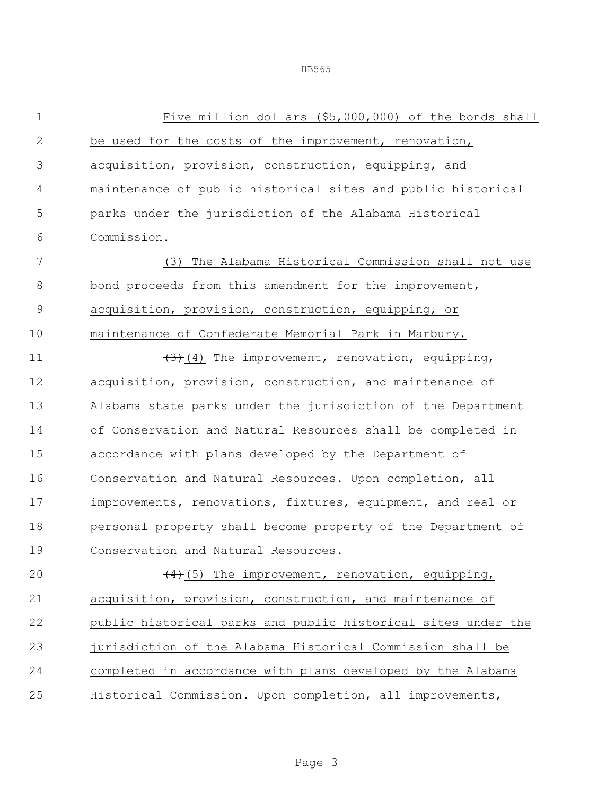Five million dollars (\$5,000,000) of the bonds shall be used for the costs of the improvement, renovation, acquisition, provision, construction, equipping, and maintenance of public historical sites and public historical parks under the jurisdiction of the Alabama Historical Commission. (3) The Alabama Historical Commission shall not use 8 bond proceeds from this amendment for the improvement, acquisition, provision, construction, equipping, or maintenance of Confederate Memorial Park in Marbury.  $(3)(4)$  The improvement, renovation, equipping, acquisition, provision, construction, and maintenance of Alabama state parks under the jurisdiction of the Department of Conservation and Natural Resources shall be completed in accordance with plans developed by the Department of Conservation and Natural Resources. Upon completion, all improvements, renovations, fixtures, equipment, and real or personal property shall become property of the Department of Conservation and Natural Resources.  $(4)$ (5) The improvement, renovation, equipping,

 acquisition, provision, construction, and maintenance of public historical parks and public historical sites under the jurisdiction of the Alabama Historical Commission shall be completed in accordance with plans developed by the Alabama Historical Commission. Upon completion, all improvements,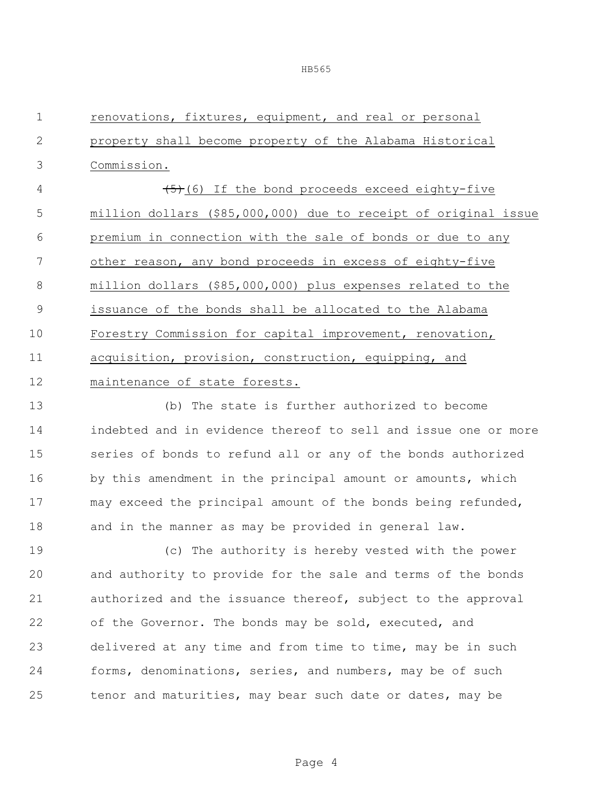| $\mathbf 1$  | renovations, fixtures, equipment, and real or personal          |  |  |
|--------------|-----------------------------------------------------------------|--|--|
| $\mathbf{2}$ | property shall become property of the Alabama Historical        |  |  |
| 3            | Commission.                                                     |  |  |
| 4            | $(5)$ (6) If the bond proceeds exceed eighty-five               |  |  |
| 5            | million dollars (\$85,000,000) due to receipt of original issue |  |  |
| 6            | premium in connection with the sale of bonds or due to any      |  |  |
| 7            | other reason, any bond proceeds in excess of eighty-five        |  |  |
| 8            | million dollars (\$85,000,000) plus expenses related to the     |  |  |
| 9            | issuance of the bonds shall be allocated to the Alabama         |  |  |
| 10           | Forestry Commission for capital improvement, renovation,        |  |  |
| 11           | acquisition, provision, construction, equipping, and            |  |  |
| 12           | maintenance of state forests.                                   |  |  |
| 13           | (b) The state is further authorized to become                   |  |  |
| 14           | indebted and in evidence thereof to sell and issue one or more  |  |  |
| 15           | series of bonds to refund all or any of the bonds authorized    |  |  |
| 16           | by this amendment in the principal amount or amounts, which     |  |  |
| 17           | may exceed the principal amount of the bonds being refunded,    |  |  |
| 18           | and in the manner as may be provided in general law.            |  |  |
| 19           | (c) The authority is hereby vested with the power               |  |  |
| 20           | and authority to provide for the sale and terms of the bonds    |  |  |
| 21           | authorized and the issuance thereof, subject to the approval    |  |  |
| 22           | of the Governor. The bonds may be sold, executed, and           |  |  |
| 23           | delivered at any time and from time to time, may be in such     |  |  |
| 24           | forms, denominations, series, and numbers, may be of such       |  |  |
| 25           | tenor and maturities, may bear such date or dates, may be       |  |  |
|              |                                                                 |  |  |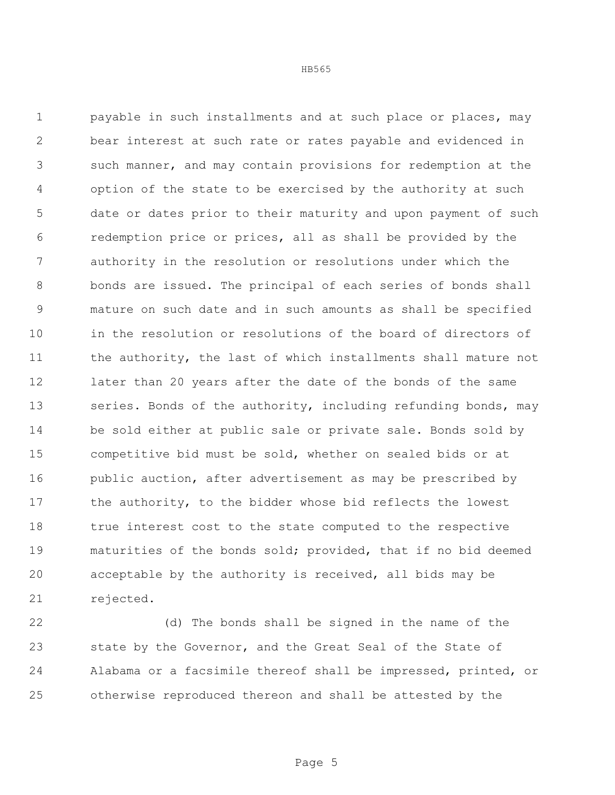payable in such installments and at such place or places, may bear interest at such rate or rates payable and evidenced in such manner, and may contain provisions for redemption at the option of the state to be exercised by the authority at such date or dates prior to their maturity and upon payment of such redemption price or prices, all as shall be provided by the authority in the resolution or resolutions under which the bonds are issued. The principal of each series of bonds shall mature on such date and in such amounts as shall be specified in the resolution or resolutions of the board of directors of the authority, the last of which installments shall mature not later than 20 years after the date of the bonds of the same 13 series. Bonds of the authority, including refunding bonds, may be sold either at public sale or private sale. Bonds sold by competitive bid must be sold, whether on sealed bids or at 16 public auction, after advertisement as may be prescribed by 17 the authority, to the bidder whose bid reflects the lowest true interest cost to the state computed to the respective maturities of the bonds sold; provided, that if no bid deemed acceptable by the authority is received, all bids may be rejected.

 (d) The bonds shall be signed in the name of the state by the Governor, and the Great Seal of the State of Alabama or a facsimile thereof shall be impressed, printed, or otherwise reproduced thereon and shall be attested by the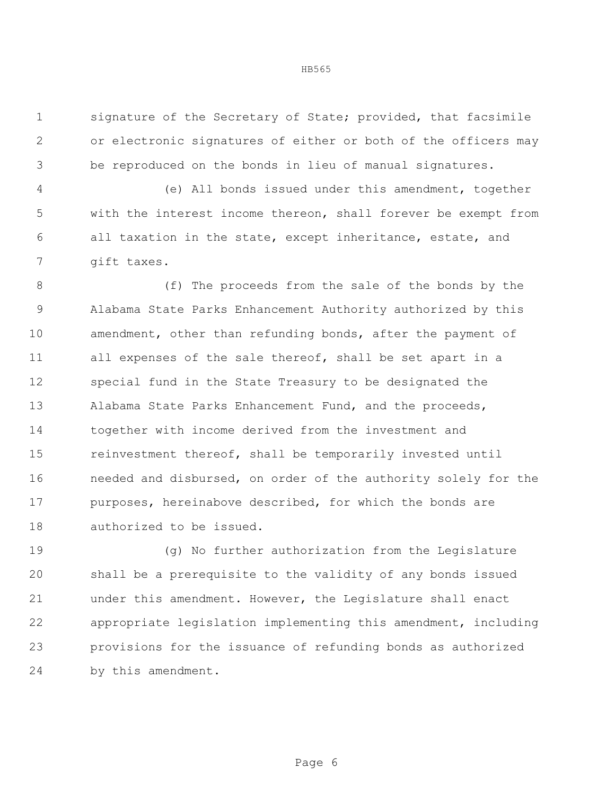signature of the Secretary of State; provided, that facsimile or electronic signatures of either or both of the officers may be reproduced on the bonds in lieu of manual signatures.

 (e) All bonds issued under this amendment, together with the interest income thereon, shall forever be exempt from all taxation in the state, except inheritance, estate, and gift taxes.

8 (f) The proceeds from the sale of the bonds by the Alabama State Parks Enhancement Authority authorized by this 10 amendment, other than refunding bonds, after the payment of all expenses of the sale thereof, shall be set apart in a special fund in the State Treasury to be designated the Alabama State Parks Enhancement Fund, and the proceeds, together with income derived from the investment and reinvestment thereof, shall be temporarily invested until needed and disbursed, on order of the authority solely for the purposes, hereinabove described, for which the bonds are authorized to be issued.

 (g) No further authorization from the Legislature shall be a prerequisite to the validity of any bonds issued under this amendment. However, the Legislature shall enact appropriate legislation implementing this amendment, including provisions for the issuance of refunding bonds as authorized by this amendment.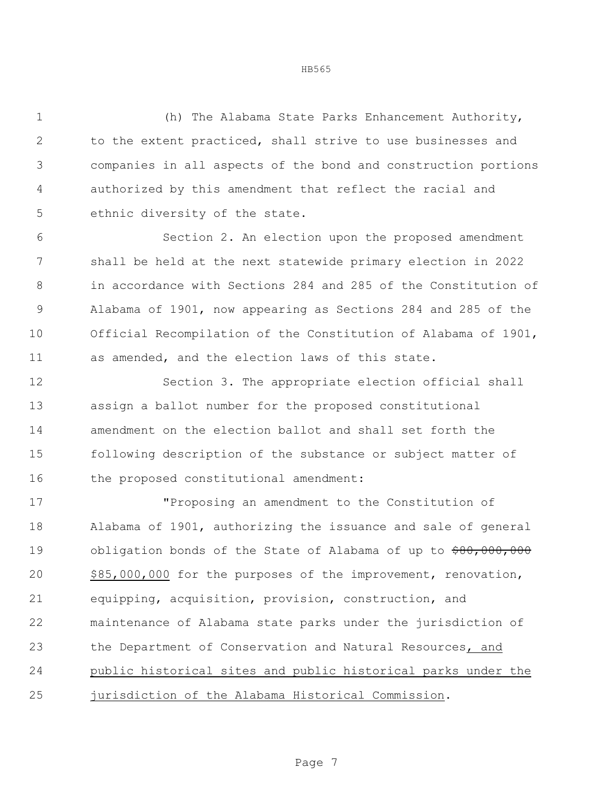(h) The Alabama State Parks Enhancement Authority, to the extent practiced, shall strive to use businesses and companies in all aspects of the bond and construction portions authorized by this amendment that reflect the racial and ethnic diversity of the state.

 Section 2. An election upon the proposed amendment shall be held at the next statewide primary election in 2022 in accordance with Sections 284 and 285 of the Constitution of Alabama of 1901, now appearing as Sections 284 and 285 of the Official Recompilation of the Constitution of Alabama of 1901, as amended, and the election laws of this state.

 Section 3. The appropriate election official shall assign a ballot number for the proposed constitutional amendment on the election ballot and shall set forth the following description of the substance or subject matter of 16 the proposed constitutional amendment:

 "Proposing an amendment to the Constitution of Alabama of 1901, authorizing the issuance and sale of general 19 obligation bonds of the State of Alabama of up to  $\frac{60}{7000}$ , 000, \$85,000,000 for the purposes of the improvement, renovation, equipping, acquisition, provision, construction, and maintenance of Alabama state parks under the jurisdiction of the Department of Conservation and Natural Resources, and public historical sites and public historical parks under the jurisdiction of the Alabama Historical Commission.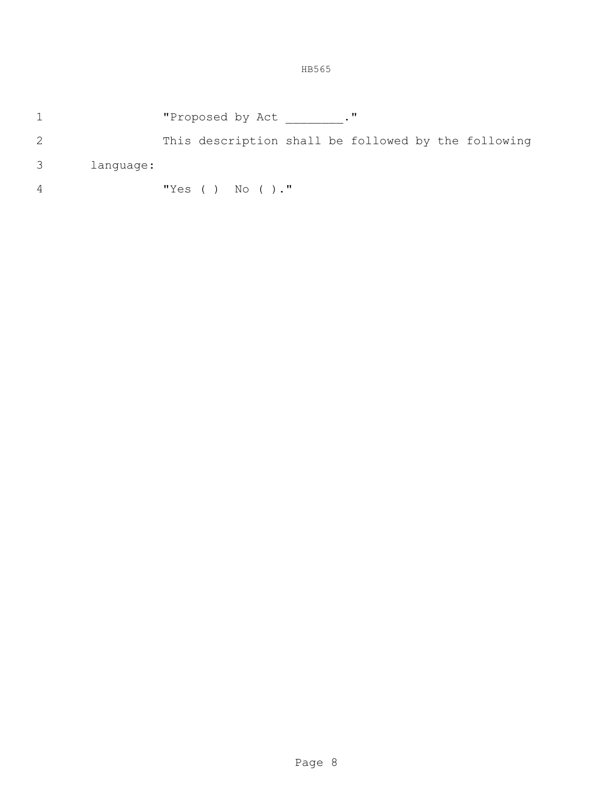- **"Proposed by Act** \_\_\_\_\_\_\_."
- This description shall be followed by the following
- language:
- "Yes ( ) No ( )."